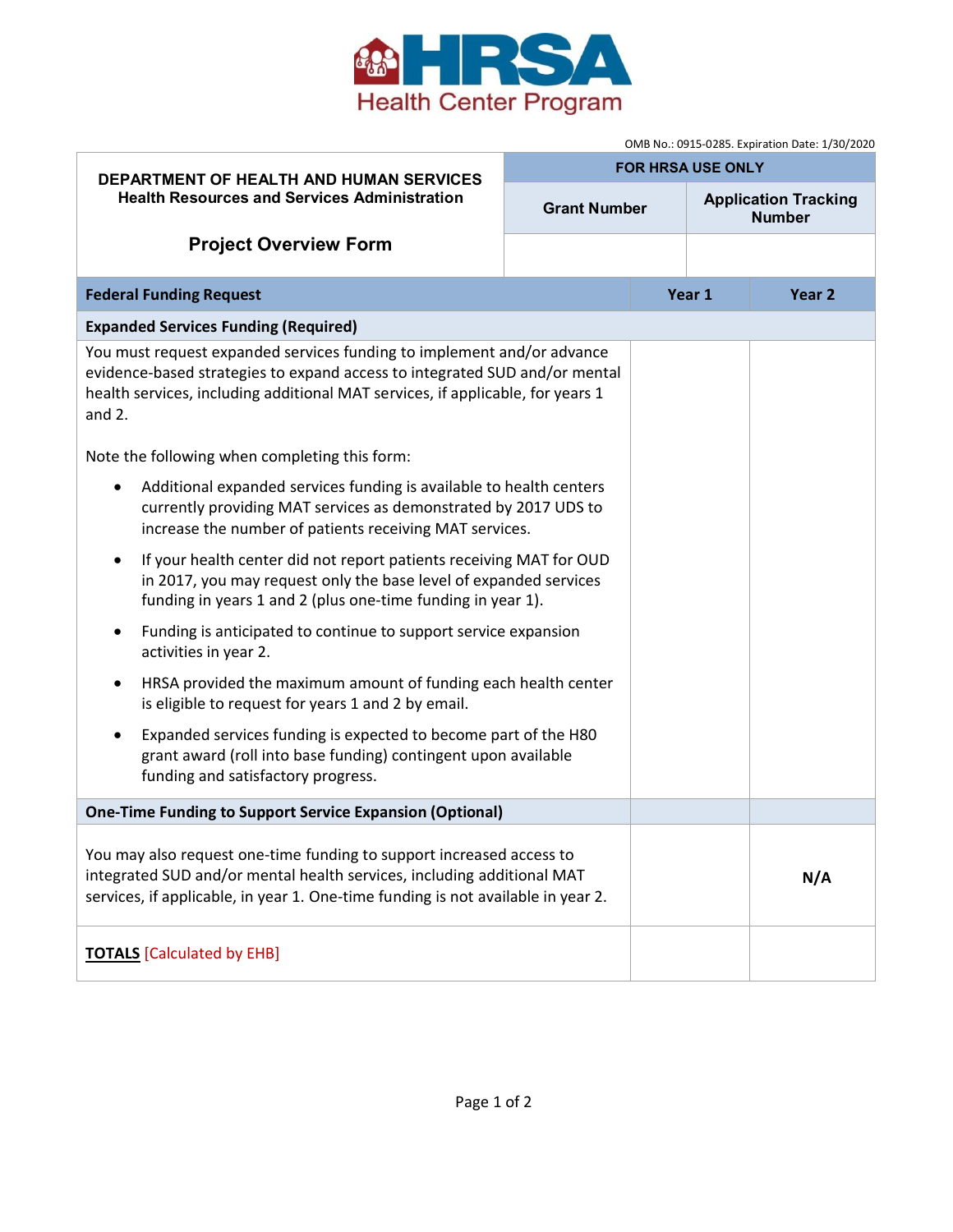

|                                                                                                                                                                                                                                                    | OMB No.: 0915-0285. Expiration Date: 1/30/2020 |  |                                              |                   |
|----------------------------------------------------------------------------------------------------------------------------------------------------------------------------------------------------------------------------------------------------|------------------------------------------------|--|----------------------------------------------|-------------------|
| <b>DEPARTMENT OF HEALTH AND HUMAN SERVICES</b><br><b>Health Resources and Services Administration</b>                                                                                                                                              | <b>FOR HRSA USE ONLY</b>                       |  |                                              |                   |
|                                                                                                                                                                                                                                                    | <b>Grant Number</b>                            |  | <b>Application Tracking</b><br><b>Number</b> |                   |
| <b>Project Overview Form</b>                                                                                                                                                                                                                       |                                                |  |                                              |                   |
| <b>Federal Funding Request</b>                                                                                                                                                                                                                     |                                                |  | Year 1                                       | Year <sub>2</sub> |
| <b>Expanded Services Funding (Required)</b>                                                                                                                                                                                                        |                                                |  |                                              |                   |
| You must request expanded services funding to implement and/or advance<br>evidence-based strategies to expand access to integrated SUD and/or mental<br>health services, including additional MAT services, if applicable, for years 1<br>and $2.$ |                                                |  |                                              |                   |
| Note the following when completing this form:                                                                                                                                                                                                      |                                                |  |                                              |                   |
| Additional expanded services funding is available to health centers<br>$\bullet$<br>currently providing MAT services as demonstrated by 2017 UDS to<br>increase the number of patients receiving MAT services.                                     |                                                |  |                                              |                   |
| If your health center did not report patients receiving MAT for OUD<br>$\bullet$<br>in 2017, you may request only the base level of expanded services<br>funding in years 1 and 2 (plus one-time funding in year 1).                               |                                                |  |                                              |                   |
| Funding is anticipated to continue to support service expansion<br>$\bullet$<br>activities in year 2.                                                                                                                                              |                                                |  |                                              |                   |
| HRSA provided the maximum amount of funding each health center<br>$\bullet$<br>is eligible to request for years 1 and 2 by email.                                                                                                                  |                                                |  |                                              |                   |
| Expanded services funding is expected to become part of the H80<br>$\bullet$<br>grant award (roll into base funding) contingent upon available<br>funding and satisfactory progress.                                                               |                                                |  |                                              |                   |
| <b>One-Time Funding to Support Service Expansion (Optional)</b>                                                                                                                                                                                    |                                                |  |                                              |                   |
| You may also request one-time funding to support increased access to<br>integrated SUD and/or mental health services, including additional MAT<br>services, if applicable, in year 1. One-time funding is not available in year 2.                 |                                                |  |                                              | N/A               |
| <b>TOTALS</b> [Calculated by EHB]                                                                                                                                                                                                                  |                                                |  |                                              |                   |